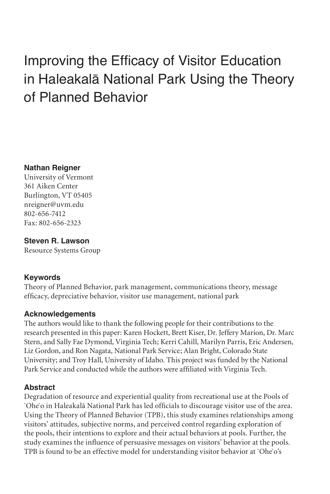# Improving the Efficacy of Visitor Education in Haleakalā National Park Using the Theory of Planned Behavior

## **Nathan Reigner**

University of Vermont 361 Aiken Center Burlington, VT 05405 nreigner@uvm.edu 802-656-7412 Fax: 802-656-2323

# **Steven R. Lawson**

Resource Systems Group

# **Keywords**

Theory of Planned Behavior, park management, communications theory, message efficacy, depreciative behavior, visitor use management, national park

# **Acknowledgements**

The authors would like to thank the following people for their contributions to the research presented in this paper: Karen Hockett, Brett Kiser, Dr. Jeffery Marion, Dr. Marc Stern, and Sally Fae Dymond, Virginia Tech; Kerri Cahill, Marilyn Parris, Eric Andersen, Liz Gordon, and Ron Nagata, National Park Service; Alan Bright, Colorado State University; and Troy Hall, University of Idaho. This project was funded by the National Park Service and conducted while the authors were affiliated with Virginia Tech.

# **Abstract**

Degradation of resource and experiential quality from recreational use at the Pools of `Ohe`o in Haleakalā National Park has led officials to discourage visitor use of the area. Using the Theory of Planned Behavior (TPB), this study examines relationships among visitors' attitudes, subjective norms, and perceived control regarding exploration of the pools, their intentions to explore and their actual behaviors at pools. Further, the study examines the influence of persuasive messages on visitors' behavior at the pools. TPB is found to be an effective model for understanding visitor behavior at `Ohe`o's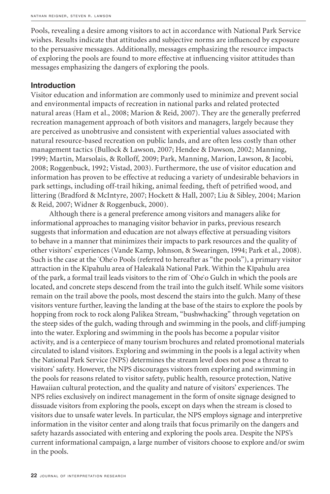Pools, revealing a desire among visitors to act in accordance with National Park Service wishes. Results indicate that attitudes and subjective norms are influenced by exposure to the persuasive messages. Additionally, messages emphasizing the resource impacts of exploring the pools are found to more effective at influencing visitor attitudes than messages emphasizing the dangers of exploring the pools.

## **Introduction**

Visitor education and information are commonly used to minimize and prevent social and environmental impacts of recreation in national parks and related protected natural areas (Ham et al., 2008; Marion & Reid, 2007). They are the generally preferred recreation management approach of both visitors and managers, largely because they are perceived as unobtrusive and consistent with experiential values associated with natural resource-based recreation on public lands, and are often less costly than other management tactics (Bullock & Lawson, 2007; Hendee & Dawson, 2002; Manning, 1999; Martin, Marsolais, & Rolloff, 2009; Park, Manning, Marion, Lawson, & Jacobi, 2008; Roggenbuck, 1992; Vistad, 2003). Furthermore, the use of visitor education and information has proven to be effective at reducing a variety of undesirable behaviors in park settings, including off-trail hiking, animal feeding, theft of petrified wood, and littering (Bradford & McIntyre, 2007; Hockett & Hall, 2007; Liu & Sibley, 2004; Marion & Reid, 2007; Widner & Roggenbuck, 2000).

Although there is a general preference among visitors and managers alike for informational approaches to managing visitor behavior in parks, previous research suggests that information and education are not always effective at persuading visitors to behave in a manner that minimizes their impacts to park resources and the quality of other visitors' experiences (Vande Kamp, Johnson, & Swearingen, 1994; Park et al., 2008). Such is the case at the `Ohe`o Pools (referred to hereafter as "the pools"), a primary visitor attraction in the Kīpahulu area of Haleakalā National Park. Within the Kīpahulu area of the park, a formal trail leads visitors to the rim of `Ohe`o Gulch in which the pools are located, and concrete steps descend from the trail into the gulch itself. While some visitors remain on the trail above the pools, most descend the stairs into the gulch. Many of these visitors venture further, leaving the landing at the base of the stairs to explore the pools by hopping from rock to rock along Palikea Stream, "bushwhacking" through vegetation on the steep sides of the gulch, wading through and swimming in the pools, and cliff-jumping into the water. Exploring and swimming in the pools has become a popular visitor activity, and is a centerpiece of many tourism brochures and related promotional materials circulated to island visitors. Exploring and swimming in the pools is a legal activity when the National Park Service (NPS) determines the stream level does not pose a threat to visitors' safety. However, the NPS discourages visitors from exploring and swimming in the pools for reasons related to visitor safety, public health, resource protection, Native Hawaiian cultural protection, and the quality and nature of visitors' experiences. The NPS relies exclusively on indirect management in the form of onsite signage designed to dissuade visitors from exploring the pools, except on days when the stream is closed to visitors due to unsafe water levels. In particular, the NPS employs signage and interpretive information in the visitor center and along trails that focus primarily on the dangers and safety hazards associated with entering and exploring the pools area. Despite the NPS's current informational campaign, a large number of visitors choose to explore and/or swim in the pools.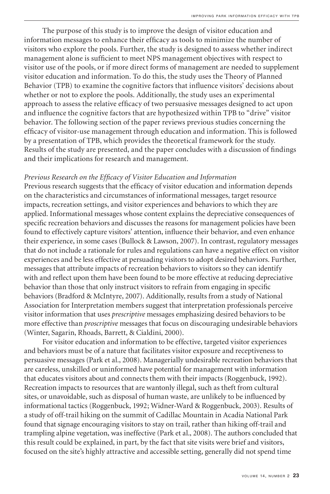The purpose of this study is to improve the design of visitor education and information messages to enhance their efficacy as tools to minimize the number of visitors who explore the pools. Further, the study is designed to assess whether indirect management alone is sufficient to meet NPS management objectives with respect to visitor use of the pools, or if more direct forms of management are needed to supplement visitor education and information. To do this, the study uses the Theory of Planned Behavior (TPB) to examine the cognitive factors that influence visitors' decisions about whether or not to explore the pools. Additionally, the study uses an experimental approach to assess the relative efficacy of two persuasive messages designed to act upon and influence the cognitive factors that are hypothesized within TPB to "drive" visitor behavior. The following section of the paper reviews previous studies concerning the efficacy of visitor-use management through education and information. This is followed by a presentation of TPB, which provides the theoretical framework for the study. Results of the study are presented, and the paper concludes with a discussion of findings and their implications for research and management.

#### *Previous Research on the Efficacy of Visitor Education and Information*

Previous research suggests that the efficacy of visitor education and information depends on the characteristics and circumstances of informational messages, target resource impacts, recreation settings, and visitor experiences and behaviors to which they are applied. Informational messages whose content explains the depreciative consequences of specific recreation behaviors and discusses the reasons for management policies have been found to effectively capture visitors' attention, influence their behavior, and even enhance their experience, in some cases (Bullock & Lawson, 2007). In contrast, regulatory messages that do not include a rationale for rules and regulations can have a negative effect on visitor experiences and be less effective at persuading visitors to adopt desired behaviors. Further, messages that attribute impacts of recreation behaviors to visitors so they can identify with and reflect upon them have been found to be more effective at reducing depreciative behavior than those that only instruct visitors to refrain from engaging in specific behaviors (Bradford & McIntyre, 2007). Additionally, results from a study of National Association for Interpretation members suggest that interpretation professionals perceive visitor information that uses *prescriptive* messages emphasizing desired behaviors to be more effective than *proscriptive* messages that focus on discouraging undesirable behaviors (Winter, Sagarin, Rhoads, Barrett, & Cialdini, 2000).

For visitor education and information to be effective, targeted visitor experiences and behaviors must be of a nature that facilitates visitor exposure and receptiveness to persuasive messages (Park et al., 2008). Managerially undesirable recreation behaviors that are careless, unskilled or uninformed have potential for management with information that educates visitors about and connects them with their impacts (Roggenbuck, 1992). Recreation impacts to resources that are wantonly illegal, such as theft from cultural sites, or unavoidable, such as disposal of human waste, are unlikely to be influenced by informational tactics (Roggenbuck, 1992; Widner-Ward & Roggenbuck, 2003). Results of a study of off-trail hiking on the summit of Cadillac Mountain in Acadia National Park found that signage encouraging visitors to stay on trail, rather than hiking off-trail and trampling alpine vegetation, was ineffective (Park et al., 2008). The authors concluded that this result could be explained, in part, by the fact that site visits were brief and visitors, focused on the site's highly attractive and accessible setting, generally did not spend time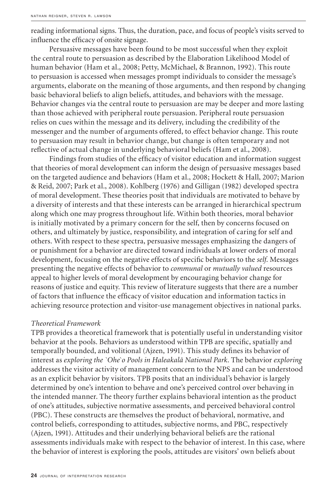reading informational signs. Thus, the duration, pace, and focus of people's visits served to influence the efficacy of onsite signage.

Persuasive messages have been found to be most successful when they exploit the central route to persuasion as described by the Elaboration Likelihood Model of human behavior (Ham et al., 2008; Petty, McMichael, & Brannon, 1992). This route to persuasion is accessed when messages prompt individuals to consider the message's arguments, elaborate on the meaning of those arguments, and then respond by changing basic behavioral beliefs to align beliefs, attitudes, and behaviors with the message. Behavior changes via the central route to persuasion are may be deeper and more lasting than those achieved with peripheral route persuasion. Peripheral route persuasion relies on cues within the message and its delivery, including the credibility of the messenger and the number of arguments offered, to effect behavior change. This route to persuasion may result in behavior change, but change is often temporary and not reflective of actual change in underlying behavioral beliefs (Ham et al., 2008).

Findings from studies of the efficacy of visitor education and information suggest that theories of moral development can inform the design of persuasive messages based on the targeted audience and behaviors (Ham et al., 2008; Hockett & Hall, 2007; Marion & Reid, 2007; Park et al., 2008). Kohlberg (1976) and Gilligan (1982) developed spectra of moral development. These theories posit that individuals are motivated to behave by a diversity of interests and that these interests can be arranged in hierarchical spectrum along which one may progress throughout life. Within both theories, moral behavior is initially motivated by a primary concern for the self, then by concerns focused on others, and ultimately by justice, responsibility, and integration of caring for self and others. With respect to these spectra, persuasive messages emphasizing the dangers of or punishment for a behavior are directed toward individuals at lower orders of moral development, focusing on the negative effects of specific behaviors to the *self*. Messages presenting the negative effects of behavior to *communal* or *mutually valued* resources appeal to higher levels of moral development by encouraging behavior change for reasons of justice and equity. This review of literature suggests that there are a number of factors that influence the efficacy of visitor education and information tactics in achieving resource protection and visitor-use management objectives in national parks.

#### *Theoretical Framework*

TPB provides a theoretical framework that is potentially useful in understanding visitor behavior at the pools. Behaviors as understood within TPB are specific, spatially and temporally bounded, and volitional (Ajzen, 1991). This study defines its behavior of interest as *exploring the `Ohe`o Pools in Haleakalā National Park*. The behavior *exploring* addresses the visitor activity of management concern to the NPS and can be understood as an explicit behavior by visitors. TPB posits that an individual's behavior is largely determined by one's intention to behave and one's perceived control over behaving in the intended manner. The theory further explains behavioral intention as the product of one's attitudes, subjective normative assessments, and perceived behavioral control (PBC). These constructs are themselves the product of behavioral, normative, and control beliefs, corresponding to attitudes, subjective norms, and PBC, respectively (Ajzen, 1991). Attitudes and their underlying behavioral beliefs are the rational assessments individuals make with respect to the behavior of interest. In this case, where the behavior of interest is exploring the pools, attitudes are visitors' own beliefs about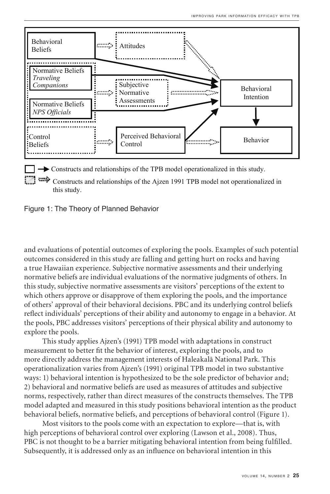

Constructs and relationships of the Ajzen 1991 TPB model not operationalized in  $\text{S}\text{ study.}$ this study.

Figure 1: The Theory of Planned Behavior

and evaluations of potential outcomes of exploring the pools. Examples of such potential outcomes considered in this study are falling and getting hurt on rocks and having a true Hawaiian experience. Subjective normative assessments and their underlying normative beliefs are individual evaluations of the normative judgments of others. In this study, subjective normative assessments are visitors' perceptions of the extent to which others approve or disapprove of them exploring the pools, and the importance of others' approval of their behavioral decisions. PBC and its underlying control beliefs reflect individuals' perceptions of their ability and autonomy to engage in a behavior. At the pools, PBC addresses visitors' perceptions of their physical ability and autonomy to explore the pools.

This study applies Ajzen's (1991) TPB model with adaptations in construct measurement to better fit the behavior of interest, exploring the pools, and to more directly address the management interests of Haleakalā National Park. This operationalization varies from Ajzen's (1991) original TPB model in two substantive ways: 1) behavioral intention is hypothesized to be the sole predictor of behavior and; 2) behavioral and normative beliefs are used as measures of attitudes and subjective norms, respectively, rather than direct measures of the constructs themselves. The TPB model adapted and measured in this study positions behavioral intention as the product behavioral beliefs, normative beliefs, and perceptions of behavioral control (Figure 1).

Most visitors to the pools come with an expectation to explore—that is, with high perceptions of behavioral control over exploring (Lawson et al., 2008). Thus, PBC is not thought to be a barrier mitigating behavioral intention from being fulfilled. Subsequently, it is addressed only as an influence on behavioral intention in this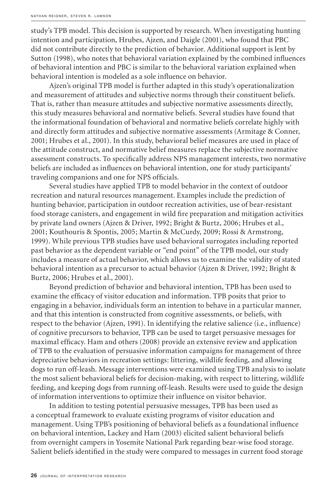study's TPB model. This decision is supported by research. When investigating hunting intention and participation, Hrubes, Ajzen, and Daigle (2001), who found that PBC did not contribute directly to the prediction of behavior. Additional support is lent by Sutton (1998), who notes that behavioral variation explained by the combined influences of behavioral intention and PBC is similar to the behavioral variation explained when behavioral intention is modeled as a sole influence on behavior.

Ajzen's original TPB model is further adapted in this study's operationalization and measurement of attitudes and subjective norms through their constituent beliefs. That is, rather than measure attitudes and subjective normative assessments directly, this study measures behavioral and normative beliefs. Several studies have found that the informational foundation of behavioral and normative beliefs correlate highly with and directly form attitudes and subjective normative assessments (Armitage & Conner, 2001; Hrubes et al., 2001). In this study, behavioral belief measures are used in place of the attitude construct, and normative belief measures replace the subjective normative assessment constructs. To specifically address NPS management interests, two normative beliefs are included as influences on behavioral intention, one for study participants' traveling companions and one for NPS officials.

Several studies have applied TPB to model behavior in the context of outdoor recreation and natural resources management. Examples include the prediction of hunting behavior, participation in outdoor recreation activities, use of bear-resistant food storage canisters, and engagement in wild fire preparation and mitigation activities by private land owners (Ajzen & Driver, 1992; Bright & Burtz, 2006; Hrubes et al., 2001; Kouthouris & Spontis, 2005; Martin & McCurdy, 2009; Rossi & Armstrong, 1999). While previous TPB studies have used behavioral surrogates including reported past behavior as the dependent variable or "end point" of the TPB model, our study includes a measure of actual behavior, which allows us to examine the validity of stated behavioral intention as a precursor to actual behavior (Ajzen & Driver, 1992; Bright & Burtz, 2006; Hrubes et al., 2001).

Beyond prediction of behavior and behavioral intention, TPB has been used to examine the efficacy of visitor education and information. TPB posits that prior to engaging in a behavior, individuals form an intention to behave in a particular manner, and that this intention is constructed from cognitive assessments, or beliefs, with respect to the behavior (Ajzen, 1991). In identifying the relative salience (i.e., influence) of cognitive precursors to behavior, TPB can be used to target persuasive messages for maximal efficacy. Ham and others (2008) provide an extensive review and application of TPB to the evaluation of persuasive information campaigns for management of three depreciative behaviors in recreation settings: littering, wildlife feeding, and allowing dogs to run off-leash. Message interventions were examined using TPB analysis to isolate the most salient behavioral beliefs for decision-making, with respect to littering, wildlife feeding, and keeping dogs from running off-leash. Results were used to guide the design of information interventions to optimize their influence on visitor behavior.

In addition to testing potential persuasive messages, TPB has been used as a conceptual framework to evaluate existing programs of visitor education and management. Using TPB's positioning of behavioral beliefs as a foundational influence on behavioral intention, Lackey and Ham (2003) elicited salient behavioral beliefs from overnight campers in Yosemite National Park regarding bear-wise food storage. Salient beliefs identified in the study were compared to messages in current food storage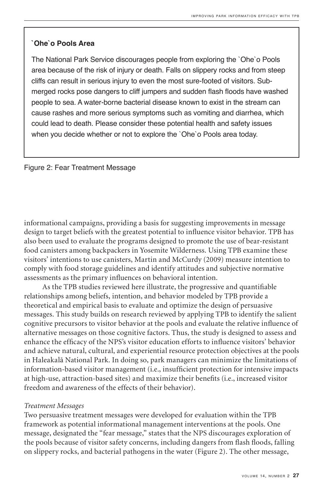## **`Ohe`o Pools Area**

The National Park Service discourages people from exploring the `Ohe`o Pools area because of the risk of injury or death. Falls on slippery rocks and from steep cliffs can result in serious injury to even the most sure-footed of visitors. Submerged rocks pose dangers to cliff jumpers and sudden flash floods have washed people to sea. A water-borne bacterial disease known to exist in the stream can cause rashes and more serious symptoms such as vomiting and diarrhea, which could lead to death. Please consider these potential health and safety issues when you decide whether or not to explore the `Ohe`o Pools area today.

#### Figure 2: Fear Treatment Message

informational campaigns, providing a basis for suggesting improvements in message design to target beliefs with the greatest potential to influence visitor behavior. TPB has also been used to evaluate the programs designed to promote the use of bear-resistant food canisters among backpackers in Yosemite Wilderness. Using TPB examine these visitors' intentions to use canisters, Martin and McCurdy (2009) measure intention to comply with food storage guidelines and identify attitudes and subjective normative assessments as the primary influences on behavioral intention.

As the TPB studies reviewed here illustrate, the progressive and quantifiable relationships among beliefs, intention, and behavior modeled by TPB provide a theoretical and empirical basis to evaluate and optimize the design of persuasive messages. This study builds on research reviewed by applying TPB to identify the salient cognitive precursors to visitor behavior at the pools and evaluate the relative influence of alternative messages on those cognitive factors. Thus, the study is designed to assess and enhance the efficacy of the NPS's visitor education efforts to influence visitors' behavior and achieve natural, cultural, and experiential resource protection objectives at the pools in Haleakalā National Park. In doing so, park managers can minimize the limitations of information-based visitor management (i.e., insufficient protection for intensive impacts at high-use, attraction-based sites) and maximize their benefits (i.e., increased visitor freedom and awareness of the effects of their behavior).

#### *Treatment Messages*

Two persuasive treatment messages were developed for evaluation within the TPB framework as potential informational management interventions at the pools. One message, designated the "fear message," states that the NPS discourages exploration of the pools because of visitor safety concerns, including dangers from flash floods, falling on slippery rocks, and bacterial pathogens in the water (Figure 2). The other message,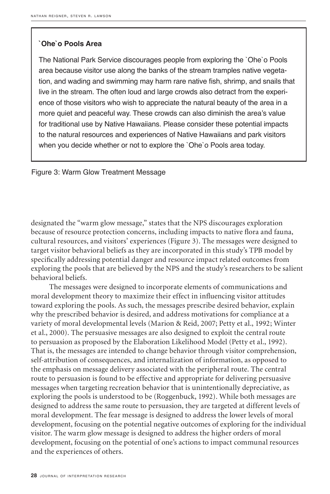### **`Ohe`o Pools Area**

The National Park Service discourages people from exploring the `Ohe`o Pools area because visitor use along the banks of the stream tramples native vegetation, and wading and swimming may harm rare native fish, shrimp, and snails that live in the stream. The often loud and large crowds also detract from the experience of those visitors who wish to appreciate the natural beauty of the area in a more quiet and peaceful way. These crowds can also diminish the area's value for traditional use by Native Hawaiians. Please consider these potential impacts to the natural resources and experiences of Native Hawaiians and park visitors when you decide whether or not to explore the `Ohe`o Pools area today.

Figure 3: Warm Glow Treatment Message

designated the "warm glow message," states that the NPS discourages exploration because of resource protection concerns, including impacts to native flora and fauna, cultural resources, and visitors' experiences (Figure 3). The messages were designed to target visitor behavioral beliefs as they are incorporated in this study's TPB model by specifically addressing potential danger and resource impact related outcomes from exploring the pools that are believed by the NPS and the study's researchers to be salient behavioral beliefs.

The messages were designed to incorporate elements of communications and moral development theory to maximize their effect in influencing visitor attitudes toward exploring the pools. As such, the messages prescribe desired behavior, explain why the prescribed behavior is desired, and address motivations for compliance at a variety of moral developmental levels (Marion & Reid, 2007; Petty et al., 1992; Winter et al., 2000). The persuasive messages are also designed to exploit the central route to persuasion as proposed by the Elaboration Likelihood Model (Petty et al., 1992). That is, the messages are intended to change behavior through visitor comprehension, self-attribution of consequences, and internalization of information, as opposed to the emphasis on message delivery associated with the peripheral route. The central route to persuasion is found to be effective and appropriate for delivering persuasive messages when targeting recreation behavior that is unintentionally depreciative, as exploring the pools is understood to be (Roggenbuck, 1992). While both messages are designed to address the same route to persuasion, they are targeted at different levels of moral development. The fear message is designed to address the lower levels of moral development, focusing on the potential negative outcomes of exploring for the individual visitor. The warm glow message is designed to address the higher orders of moral development, focusing on the potential of one's actions to impact communal resources and the experiences of others.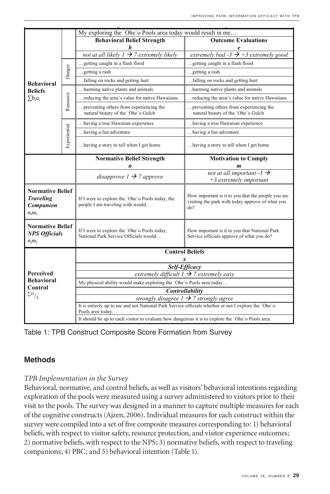|                                                                       |              | My exploring the 'Ohe'o Pools area today would result in me                                                              |                                                                                                               |  |  |  |
|-----------------------------------------------------------------------|--------------|--------------------------------------------------------------------------------------------------------------------------|---------------------------------------------------------------------------------------------------------------|--|--|--|
|                                                                       |              | <b>Behavioral Belief Strength</b>                                                                                        | <b>Outcome Evaluations</b>                                                                                    |  |  |  |
|                                                                       |              | not at all likely $1 \rightarrow 7$ extremely likely                                                                     | extremely bad -3 $\rightarrow$ +3 extremely good                                                              |  |  |  |
|                                                                       |              |                                                                                                                          |                                                                                                               |  |  |  |
|                                                                       |              | getting caught in a flash flood.                                                                                         | getting caught in a flash flood                                                                               |  |  |  |
|                                                                       | Danger       | getting a rash                                                                                                           | getting a rash                                                                                                |  |  |  |
| <b>Behavioral</b>                                                     |              | falling on rocks and getting hurt                                                                                        | falling on rocks and getting hurt                                                                             |  |  |  |
| <b>Beliefs</b>                                                        |              | harming native plants and animals.                                                                                       | harming native plants and animals.                                                                            |  |  |  |
| $\sum b_i e_i$                                                        | Resource     | reducing the area's value for native Hawaiians                                                                           | reducing the area's value for native Hawaiians                                                                |  |  |  |
|                                                                       |              | preventing others from experiencing the<br>natural beauty of the 'Ohe'o Gulch                                            | preventing others from experiencing the<br>natural beauty of the 'Ohe'o Gulch                                 |  |  |  |
|                                                                       |              | having a true Hawaiian experience                                                                                        | having a true Hawaiian experience                                                                             |  |  |  |
|                                                                       |              | having a fun adventure                                                                                                   | having a fun adventure                                                                                        |  |  |  |
|                                                                       | Experiential | having a story to tell when I get home                                                                                   | having a story to tell when I get home                                                                        |  |  |  |
|                                                                       |              | <b>Normative Belief Strength</b>                                                                                         | <b>Motivation to Comply</b>                                                                                   |  |  |  |
|                                                                       |              | n                                                                                                                        |                                                                                                               |  |  |  |
|                                                                       |              | disapprove $1 \rightarrow 7$ approve                                                                                     | not at all important -3 $\rightarrow$                                                                         |  |  |  |
|                                                                       |              |                                                                                                                          | $+3$ extremely important                                                                                      |  |  |  |
| <b>Normative Belief</b><br><b>Traveling</b><br>Companion<br>$n_i m_i$ |              | If I were to explore the 'Ohe'o Pools today, the<br>people I am traveling with would                                     | How important is it to you that the people you are<br>visiting the park with today approve of what you<br>do? |  |  |  |
| <b>Normative Belief</b><br><b>NPS Officials</b><br>$n_1 m_1$          |              | If I were to explore the 'Ohe'o Pools today,<br>National Park Service Officials would                                    | How important is it to you that National Park<br>Service officials approve of what you do?                    |  |  |  |
| <b>Perceived</b><br><b>Behavioral</b><br>Control                      |              | <b>Control Beliefs</b><br><b>Y</b>                                                                                       |                                                                                                               |  |  |  |
|                                                                       |              | Self-Efficacy                                                                                                            |                                                                                                               |  |  |  |
|                                                                       |              | extremely difficult $1 \rightarrow 7$ extremely easy                                                                     |                                                                                                               |  |  |  |
|                                                                       |              | My physical ability would make exploring the 'Ohe'o Pools area today                                                     |                                                                                                               |  |  |  |
| $\sum x_i$ / <sub>3</sub>                                             |              | Controllability                                                                                                          |                                                                                                               |  |  |  |
|                                                                       |              | strongly disagree $1 \rightarrow 7$ strongly agree                                                                       |                                                                                                               |  |  |  |
|                                                                       |              | It is entirely up to me and not National Park Service officials whether or not I explore the 'Ohe'o<br>Pools area today. |                                                                                                               |  |  |  |
|                                                                       |              | It should be up to each visitor to evaluate how dangerous it is to explore the 'Ohe' o Pools area.                       |                                                                                                               |  |  |  |

Table 1: TPB Construct Composite Score Formation from Survey

# **Methods**

#### *TPB Implementation in the Survey*

Behavioral, normative, and control beliefs, as well as visitors' behavioral intentions regarding exploration of the pools were measured using a survey administered to visitors prior to their visit to the pools. The survey was designed in a manner to capture multiple measures for each of the cognitive constructs (Ajzen, 2006). Individual measures for each construct within the survey were compiled into a set of five composite measures corresponding to: 1) behavioral beliefs, with respect to visitor safety, resource protection, and visitor experience outcomes; 2) normative beliefs, with respect to the NPS; 3) normative beliefs, with respect to traveling companions; 4) PBC; and 5) behavioral intention (Table 1).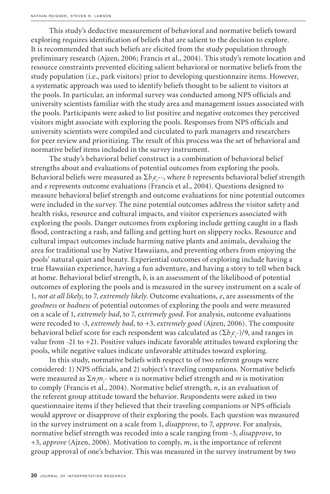This study's deductive measurement of behavioral and normative beliefs toward exploring requires identification of beliefs that are salient to the decision to explore. It is recommended that such beliefs are elicited from the study population through preliminary research (Ajzen, 2006; Francis et al., 2004). This study's remote location and resource constraints prevented eliciting salient behavioral or normative beliefs from the study population (i.e., park visitors) prior to developing questionnaire items. However, a systematic approach was used to identify beliefs thought to be salient to visitors at the pools. In particular, an informal survey was conducted among NPS officials and university scientists familiar with the study area and management issues associated with the pools. Participants were asked to list positive and negative outcomes they perceived visitors might associate with exploring the pools. Responses from NPS officials and university scientists were compiled and circulated to park managers and researchers for peer review and prioritizing. The result of this process was the set of behavioral and normative belief items included in the survey instrument.

The study's behavioral belief construct is a combination of behavioral belief strengths about and evaluations of potential outcomes from exploring the pools. Behavioral beliefs were measured as  $\sum b_i e_i$ --, where *b* represents behavioral belief strength and *e* represents outcome evaluations (Francis et al., 2004). Questions designed to measure behavioral belief strength and outcome evaluations for nine potential outcomes were included in the survey. The nine potential outcomes address the visitor safety and health risks, resource and cultural impacts, and visitor experiences associated with exploring the pools. Danger outcomes from exploring include getting caught in a flash flood, contracting a rash, and falling and getting hurt on slippery rocks. Resource and cultural impact outcomes include harming native plants and animals, devaluing the area for traditional use by Native Hawaiians, and preventing others from enjoying the pools' natural quiet and beauty. Experiential outcomes of exploring include having a true Hawaiian experience, having a fun adventure, and having a story to tell when back at home. Behavioral belief strength, *b*, is an assessment of the likelihood of potential outcomes of exploring the pools and is measured in the survey instrument on a scale of 1, *not at all likely*, to 7, *extremely likely*. Outcome evaluations, *e*, are assessments of the *goodness* or *badness* of potential outcomes of exploring the pools and were measured on a scale of 1, *extremely bad*, to 7, *extremely good*. For analysis, outcome evaluations were recoded to -3, *extremely bad*, to +3, *extremely good* (Ajzen, 2006). The composite behavioral belief score for each respondent was calculated as  $(\Sigma b_i e_j$ -)/9, and ranges in value from -21 to +21. Positive values indicate favorable attitudes toward exploring the pools, while negative values indicate unfavorable attitudes toward exploring.

In this study, normative beliefs with respect to of two referent groups were considered: 1) NPS officials, and 2) subject's traveling companions. Normative beliefs were measured as  $\sum n_i m_i$ - where *n* is normative belief strength and *m* is motivation to comply (Francis et al., 2004). Normative belief strength, *n*, is an evaluation of the referent group attitude toward the behavior. Respondents were asked in two questionnaire items if they believed that their traveling companions or NPS officials would approve or disapprove of their exploring the pools. Each question was measured in the survey instrument on a scale from 1, *disapprove*, to 7, *approve*. For analysis, normative belief strength was recoded into a scale ranging from -3, *disapprove*, to +3, *approve* (Ajzen, 2006). Motivation to comply, *m*, is the importance of referent group approval of one's behavior. This was measured in the survey instrument by two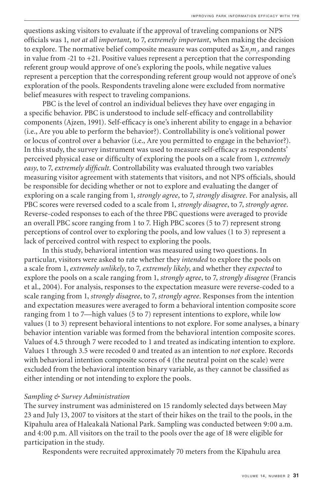questions asking visitors to evaluate if the approval of traveling companions or NPS officials was 1, *not at all important*, to 7, *extremely important*, when making the decision to explore. The normative belief composite measure was computed as  $\sum n_i m_j$ , and ranges in value from -21 to +21. Positive values represent a perception that the corresponding referent group would approve of one's exploring the pools, while negative values represent a perception that the corresponding referent group would not approve of one's exploration of the pools. Respondents traveling alone were excluded from normative belief measures with respect to traveling companions.

PBC is the level of control an individual believes they have over engaging in a specific behavior. PBC is understood to include self-efficacy and controllability components (Ajzen, 1991). Self-efficacy is one's inherent ability to engage in a behavior (i.e., Are you able to perform the behavior?). Controllability is one's volitional power or locus of control over a behavior (i.e., Are you permitted to engage in the behavior?). In this study, the survey instrument was used to measure self-efficacy as respondents' perceived physical ease or difficulty of exploring the pools on a scale from 1, *extremely easy*, to 7, *extremely difficult*. Controllability was evaluated through two variables measuring visitor agreement with statements that visitors, and not NPS officials, should be responsible for deciding whether or not to explore and evaluating the danger of exploring on a scale ranging from 1, *strongly agree*, to 7, *strongly disagree*. For analysis, all PBC scores were reversed coded to a scale from 1, *strongly disagree*, to 7, *strongly agree*. Reverse-coded responses to each of the three PBC questions were averaged to provide an overall PBC score ranging from 1 to 7. High PBC scores (5 to 7) represent strong perceptions of control over to exploring the pools, and low values (1 to 3) represent a lack of perceived control with respect to exploring the pools.

In this study, behavioral intention was measured using two questions. In particular, visitors were asked to rate whether they *intended* to explore the pools on a scale from 1, *extremely unlikely*, to 7, *extremely likely*, and whether they *expected* to explore the pools on a scale ranging from 1, *strongly agree*, to 7, *strongly disagree* (Francis et al., 2004). For analysis, responses to the expectation measure were reverse-coded to a scale ranging from 1, *strongly disagree*, to 7, *strongly agree*. Responses from the intention and expectation measures were averaged to form a behavioral intention composite score ranging from 1 to 7—high values (5 to 7) represent intentions to explore, while low values (1 to 3) represent behavioral intentions to not explore. For some analyses, a binary behavior intention variable was formed from the behavioral intention composite scores. Values of 4.5 through 7 were recoded to 1 and treated as indicating intention to explore. Values 1 through 3.5 were recoded 0 and treated as an intention to *not* explore. Records with behavioral intention composite scores of 4 (the neutral point on the scale) were excluded from the behavioral intention binary variable, as they cannot be classified as either intending or not intending to explore the pools.

#### *Sampling & Survey Administration*

The survey instrument was administered on 15 randomly selected days between May 23 and July 13, 2007 to visitors at the start of their hikes on the trail to the pools, in the Kīpahulu area of Haleakalā National Park. Sampling was conducted between 9:00 a.m. and 4:00 p.m. All visitors on the trail to the pools over the age of 18 were eligible for participation in the study.

Respondents were recruited approximately 70 meters from the Kīpahulu area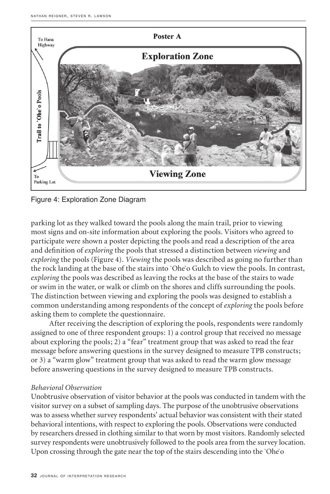

Figure 4: Exploration Zone Diagram

parking lot as they walked toward the pools along the main trail, prior to viewing most signs and on-site information about exploring the pools. Visitors who agreed to participate were shown a poster depicting the pools and read a description of the area and definition of *exploring* the pools that stressed a distinction between *viewing* and *exploring* the pools (Figure 4). *Viewing* the pools was described as going no further than the rock landing at the base of the stairs into `Ohe`o Gulch to view the pools. In contrast, *exploring* the pools was described as leaving the rocks at the base of the stairs to wade or swim in the water, or walk or climb on the shores and cliffs surrounding the pools. The distinction between viewing and exploring the pools was designed to establish a common understanding among respondents of the concept of *exploring* the pools before asking them to complete the questionnaire.

After receiving the description of exploring the pools, respondents were randomly assigned to one of three respondent groups: 1) a control group that received no message about exploring the pools; 2) a "fear" treatment group that was asked to read the fear message before answering questions in the survey designed to measure TPB constructs; or 3) a "warm glow" treatment group that was asked to read the warm glow message before answering questions in the survey designed to measure TPB constructs.

#### *Behavioral Observation*

Unobtrusive observation of visitor behavior at the pools was conducted in tandem with the visitor survey on a subset of sampling days. The purpose of the unobtrusive observations was to assess whether survey respondents' actual behavior was consistent with their stated behavioral intentions, with respect to exploring the pools. Observations were conducted by researchers dressed in clothing similar to that worn by most visitors. Randomly selected survey respondents were unobtrusively followed to the pools area from the survey location. Upon crossing through the gate near the top of the stairs descending into the `Ohe`o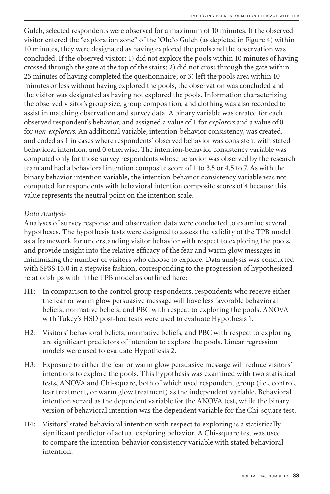Gulch, selected respondents were observed for a maximum of 10 minutes. If the observed visitor entered the "exploration zone" of the `Ohe`o Gulch (as depicted in Figure 4) within 10 minutes, they were designated as having explored the pools and the observation was concluded. If the observed visitor: 1) did not explore the pools within 10 minutes of having crossed through the gate at the top of the stairs; 2) did not cross through the gate within 25 minutes of having completed the questionnaire; or 3) left the pools area within 10 minutes or less without having explored the pools, the observation was concluded and the visitor was designated as having not explored the pools. Information characterizing the observed visitor's group size, group composition, and clothing was also recorded to assist in matching observation and survey data. A binary variable was created for each observed respondent's behavior, and assigned a value of 1 for *explorers* and a value of 0 for *non-explorers*. An additional variable, intention-behavior consistency, was created, and coded as 1 in cases where respondents' observed behavior was consistent with stated behavioral intention, and 0 otherwise. The intention-behavior consistency variable was computed only for those survey respondents whose behavior was observed by the research team and had a behavioral intention composite score of 1 to 3.5 or 4.5 to 7. As with the binary behavior intention variable, the intention-behavior consistency variable was not computed for respondents with behavioral intention composite scores of 4 because this value represents the neutral point on the intention scale.

## *Data Analysis*

Analyses of survey response and observation data were conducted to examine several hypotheses. The hypothesis tests were designed to assess the validity of the TPB model as a framework for understanding visitor behavior with respect to exploring the pools, and provide insight into the relative efficacy of the fear and warm glow messages in minimizing the number of visitors who choose to explore. Data analysis was conducted with SPSS 15.0 in a stepwise fashion, corresponding to the progression of hypothesized relationships within the TPB model as outlined here:

- H1: In comparison to the control group respondents, respondents who receive either the fear or warm glow persuasive message will have less favorable behavioral beliefs, normative beliefs, and PBC with respect to exploring the pools. ANOVA with Tukey's HSD post-hoc tests were used to evaluate Hypothesis 1.
- H2: Visitors' behavioral beliefs, normative beliefs, and PBC with respect to exploring are significant predictors of intention to explore the pools. Linear regression models were used to evaluate Hypothesis 2.
- H3: Exposure to either the fear or warm glow persuasive message will reduce visitors' intentions to explore the pools. This hypothesis was examined with two statistical tests, ANOVA and Chi-square, both of which used respondent group (i.e., control, fear treatment, or warm glow treatment) as the independent variable. Behavioral intention served as the dependent variable for the ANOVA test, while the binary version of behavioral intention was the dependent variable for the Chi-square test.
- H4: Visitors' stated behavioral intention with respect to exploring is a statistically significant predictor of actual exploring behavior. A Chi-square test was used to compare the intention-behavior consistency variable with stated behavioral intention.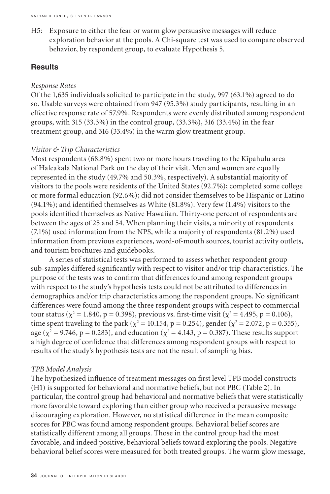H5: Exposure to either the fear or warm glow persuasive messages will reduce exploration behavior at the pools. A Chi-square test was used to compare observed behavior, by respondent group, to evaluate Hypothesis 5.

## **Results**

#### *Response Rates*

Of the 1,635 individuals solicited to participate in the study, 997 (63.1%) agreed to do so. Usable surveys were obtained from 947 (95.3%) study participants, resulting in an effective response rate of 57.9%. Respondents were evenly distributed among respondent groups, with 315 (33.3%) in the control group, (33.3%), 316 (33.4%) in the fear treatment group, and 316 (33.4%) in the warm glow treatment group.

## *Visitor & Trip Characteristics*

Most respondents (68.8%) spent two or more hours traveling to the Kīpahulu area of Haleakalā National Park on the day of their visit. Men and women are equally represented in the study (49.7% and 50.3%, respectively). A substantial majority of visitors to the pools were residents of the United States (92.7%); completed some college or more formal education (92.6%); did not consider themselves to be Hispanic or Latino (94.1%); and identified themselves as White (81.8%). Very few (1.4%) visitors to the pools identified themselves as Native Hawaiian. Thirty-one percent of respondents are between the ages of 25 and 54. When planning their visits, a minority of respondents (7.1%) used information from the NPS, while a majority of respondents (81.2%) used information from previous experiences, word-of-mouth sources, tourist activity outlets, and tourism brochures and guidebooks.

A series of statistical tests was performed to assess whether respondent group sub-samples differed significantly with respect to visitor and/or trip characteristics. The purpose of the tests was to confirm that differences found among respondent groups with respect to the study's hypothesis tests could not be attributed to differences in demographics and/or trip characteristics among the respondent groups. No significant differences were found among the three respondent groups with respect to commercial tour status ( $\chi^2 = 1.840$ , p = 0.398), previous vs. first-time visit ( $\chi^2 = 4.495$ , p = 0.106), time spent traveling to the park ( $\chi^2 = 10.154$ , p = 0.254), gender ( $\chi^2 = 2.072$ , p = 0.355), age ( $\chi^2$  = 9.746, p = 0.283), and education ( $\chi^2$  = 4.143, p = 0.387). These results support a high degree of confidence that differences among respondent groups with respect to results of the study's hypothesis tests are not the result of sampling bias.

## *TPB Model Analysis*

The hypothesized influence of treatment messages on first level TPB model constructs (H1) is supported for behavioral and normative beliefs, but not PBC (Table 2). In particular, the control group had behavioral and normative beliefs that were statistically more favorable toward exploring than either group who received a persuasive message discouraging exploration. However, no statistical difference in the mean composite scores for PBC was found among respondent groups. Behavioral belief scores are statistically different among all groups. Those in the control group had the most favorable, and indeed positive, behavioral beliefs toward exploring the pools. Negative behavioral belief scores were measured for both treated groups. The warm glow message,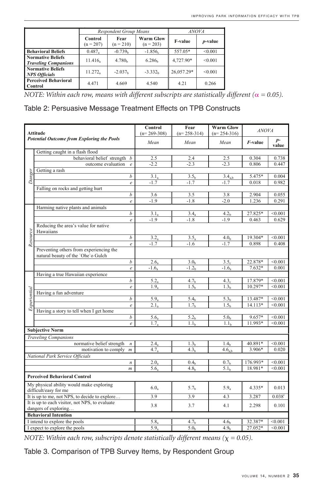|                                                         |                        | <b>Respondent Group Means</b> | <i>ANOVA</i>                    |                |                 |
|---------------------------------------------------------|------------------------|-------------------------------|---------------------------------|----------------|-----------------|
|                                                         | Control<br>$(n = 207)$ | Fear<br>$(n = 210)$           | <b>Warm Glow</b><br>$(n = 203)$ | <b>F-value</b> | <i>p</i> -value |
| <b>Behavioral Beliefs</b>                               | $0.487_a$              | $-0.739b$                     | $-1.856c$                       | 557.05*        | < 0.001         |
| <b>Normative Beliefs</b><br><b>Traveling Companions</b> | 11.416                 | 4.780 <sub>b</sub>            | 6.286 <sub>h</sub>              | 4.727.90*      | < 0.001         |
| <b>Normative Beliefs</b><br><b>NPS Officials</b>        | $11.272_a$             | $-2.037b$                     | $-3.332h$                       | 26,057.29*     | < 0.001         |
| <b>Perceived Behavioral</b><br><b>Control</b>           | 4.471                  | 4.669                         | 4.540                           | 4 2 1          | 0.266           |

NOTE: Within each row, means with different subscripts are statistically different ( $\alpha = 0.05$ ).

# Table 2: Persuasive Message Treatment Effects on TPB Constructs

| <b>Attitude</b><br><b>Potential Outcome from Exploring the Pools</b> |                                                                               |                  | Control<br>$(n=269-308)$ | Fear<br>$(n=258-314)$ | <b>Warm Glow</b><br>$(n=254-316)$ | <b>ANOVA</b>    |               |
|----------------------------------------------------------------------|-------------------------------------------------------------------------------|------------------|--------------------------|-----------------------|-----------------------------------|-----------------|---------------|
|                                                                      |                                                                               |                  | Mean                     | Mean                  | Mean                              | <i>F</i> -value | $p-$<br>value |
|                                                                      | Getting caught in a flash flood                                               |                  |                          |                       |                                   |                 |               |
|                                                                      | behavioral belief strength                                                    | b                | 2.5                      | 2.4                   | 2.5                               | 0.304           | 0.738         |
|                                                                      | outcome evaluation<br>$\mathfrak{e}$                                          |                  | $-2.2$                   | $-2.3$                | $-2.3$                            | 0.806           | 0.447         |
|                                                                      | Getting a rash                                                                |                  |                          |                       |                                   |                 |               |
| Danger                                                               |                                                                               | b                | 3.1,                     | 3.5 <sub>h</sub>      | 3.4 <sub>ab</sub>                 | 5.475*          | 0.004         |
|                                                                      |                                                                               | $\boldsymbol{e}$ | $-1.7$                   | $-1.7$                | $-1.7$                            | 0.018           | 0.982         |
|                                                                      | Falling on rocks and getting hurt                                             |                  |                          |                       |                                   |                 |               |
|                                                                      |                                                                               | b                | 3.6                      | 3.5                   | 3.8                               | 2.904           | 0.055         |
|                                                                      |                                                                               | $\mathfrak{e}$   | $-1.9$                   | $-1.8$                | $-2.0$                            | 1.236           | 0.291         |
|                                                                      | Harming native plants and animals                                             |                  |                          |                       |                                   |                 |               |
|                                                                      |                                                                               | $\boldsymbol{b}$ | 3.1 <sub>a</sub>         | 3.4 <sub>a</sub>      | 4.2 <sub>b</sub>                  | 27.825*         | < 0.001       |
|                                                                      |                                                                               | $\epsilon$       | $-1.9$                   | $-1.8$                | $-1.9$                            | 0.463           | 0.629         |
|                                                                      | Reducing the area's value for native<br>Hawaiians                             |                  |                          |                       |                                   |                 |               |
| Resource                                                             |                                                                               | $\boldsymbol{b}$ | $3.2_a$                  | $3.5_a$               | 4.0 <sub>b</sub>                  | 19.304*         | < 0.001       |
|                                                                      |                                                                               | $\boldsymbol{e}$ | $-1.7$                   | $-1.6$                | $-1.7$                            | 0.898           | 0.408         |
|                                                                      | Preventing others from experiencing the<br>natural beauty of the 'Ohe'o Gulch |                  |                          |                       |                                   |                 |               |
|                                                                      |                                                                               | b                | 2.6 <sub>a</sub>         | 3.0 <sub>h</sub>      | 3.5 <sub>c</sub>                  | 22.878*         | < 0.001       |
|                                                                      |                                                                               | $\mathfrak{e}$   | $-1.6a$                  | $-1.2b$               | $-1.6a$                           | $7.632*$        | 0.001         |
|                                                                      | Having a true Hawaiian experience                                             |                  |                          |                       |                                   |                 |               |
|                                                                      |                                                                               | $\boldsymbol{h}$ | $5.2_a$                  | 4.7 <sub>b</sub>      | 4.3 <sub>c</sub>                  | 17.879*         | < 0.001       |
|                                                                      |                                                                               | $\epsilon$       | 1.9 <sub>a</sub>         | 1.5 <sub>h</sub>      | 1.3 <sub>b</sub>                  | 10.297*         | < 0.001       |
|                                                                      | Having a fun adventure                                                        |                  |                          |                       |                                   |                 |               |
| Experiential                                                         |                                                                               | b                | 5.9 <sub>a</sub>         | 5.4 <sub>h</sub>      | 5.3 <sub>h</sub>                  | 13.487*         | < 0.001       |
|                                                                      |                                                                               | $\mathfrak{e}$   | $2.1_a$                  | 1.7 <sub>b</sub>      | 1.5 <sub>h</sub>                  | 14.113*         | < 0.001       |
|                                                                      | Having a story to tell when I get home                                        |                  |                          |                       |                                   |                 |               |
|                                                                      |                                                                               | b                | 5.6 <sub>a</sub>         | 5.2 <sub>b</sub>      | 5.0 <sub>b</sub>                  | 9.657*          | < 0.001       |
|                                                                      |                                                                               | $\boldsymbol{e}$ | 1.7 <sub>a</sub>         | 1.1 <sub>b</sub>      | 1.1 <sub>b</sub>                  | 11.993*         | < 0.001       |
|                                                                      | <b>Subjective Norm</b>                                                        |                  |                          |                       |                                   |                 |               |
|                                                                      | <b>Traveling Companions</b>                                                   |                  |                          |                       |                                   |                 |               |
|                                                                      | normative belief strength                                                     | $\boldsymbol{n}$ | $2.4_a$                  | 1.3 <sub>h</sub>      | 1.4 <sub>h</sub>                  | 40.891*         | < 0.001       |
|                                                                      | motivation to comply $m$                                                      |                  | 4.7 <sub>a</sub>         | 4.3 <sub>h</sub>      | 4.6 <sub>a b</sub>                | 3.906*          | 0.020         |
|                                                                      | National Park Service Officials                                               |                  |                          |                       |                                   |                 |               |
|                                                                      |                                                                               | $\boldsymbol{n}$ | $2.0_a$                  | 0.4 <sub>h</sub>      | 0.7 <sub>h</sub>                  | 176.993*        | < 0.001       |
|                                                                      |                                                                               | $\mathfrak{m}$   | 5.6 <sub>a</sub>         | 4.8 <sub>h</sub>      | 5.1 <sub>h</sub>                  | 18.981*         | < 0.001       |
|                                                                      | <b>Perceived Behavioral Control</b>                                           |                  |                          |                       |                                   |                 |               |
| My physical ability would make exploring<br>difficult/easy for me    |                                                                               |                  | $6.0_a$                  | 5.7 <sub>b</sub>      | $5.9_a$                           | 4.335*          | 0.013         |
| It is up to me, not NPS, to decide to explore                        |                                                                               | 3.9              | 3.9                      | 4.3                   | 3.287                             | $0.038^{1}$     |               |
|                                                                      | It is up to each visitor, not NPS, to evaluate<br>dangers of exploring        |                  | 3.8                      | 3.7                   | 4.1                               | 2.298           | 0.101         |
|                                                                      | <b>Behavioral Intention</b>                                                   |                  |                          |                       |                                   |                 |               |
|                                                                      |                                                                               |                  |                          |                       |                                   |                 |               |
|                                                                      | I intend to explore the pools                                                 |                  | $5.8_a$                  | 4.7 <sub>h</sub>      | 4.6 <sub>h</sub>                  | 32.387*         | < 0.001       |
| I expect to explore the pools                                        |                                                                               | 5.9 <sub>a</sub> | 5.0 <sub>b</sub>         | 4.9 <sub>h</sub>      | 27.052*                           | < 0.001         |               |

*NOTE: Within each row, subscripts denote statistically different means (* $\chi = 0.05$ *).* 

Table 3. Comparison of TPB Survey Items, by Respondent Group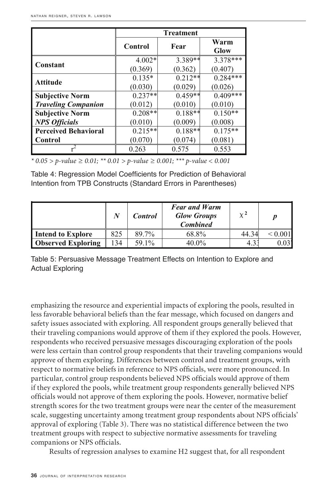|                             | <b>Treatment</b> |           |              |  |  |
|-----------------------------|------------------|-----------|--------------|--|--|
|                             | Control          | Fear      | Warm<br>Glow |  |  |
| Constant                    | $4.002*$         | 3.389**   | 3.378***     |  |  |
|                             | (0.369)          | (0.362)   | (0.407)      |  |  |
| Attitude                    | $0.135*$         | $0.212**$ | $0.284***$   |  |  |
|                             | (0.030)          | (0.029)   | (0.026)      |  |  |
| <b>Subjective Norm</b>      | $0.237**$        | $0.459**$ | $0.409***$   |  |  |
| <b>Traveling Companion</b>  | (0.012)          | (0.010)   | (0.010)      |  |  |
| <b>Subjective Norm</b>      | $0.208**$        | $0.188**$ | $0.150**$    |  |  |
| <b>NPS Officials</b>        | (0.010)          | (0.009)   | (0.008)      |  |  |
| <b>Perceived Behavioral</b> | $0.215**$        | $0.188**$ | $0.175**$    |  |  |
| Control                     | (0.070)          | (0.074)   | (0.081)      |  |  |
|                             | 0.263            | 0.575     | 0.553        |  |  |

\* 0.05 > p-value ≥ 0.01; \*\* 0.01 > p-value ≥ 0.001; \*\*\* p-value < *\* 0.05 > p-value ≥ 0.01; \*\* 0.01 > p-value ≥ 0.001; \*\*\* p-value < 0.001*

| Table 4: Regression Model Coefficients for Prediction of Behavioral |  |
|---------------------------------------------------------------------|--|
| Intention from TPB Constructs (Standard Errors in Parentheses)      |  |
|                                                                     |  |

|                           | N   | <b>Control</b> | <b>Fear and Warm</b><br><b>Glow Groups</b><br><b>Combined</b> | $\chi^2$ |  |
|---------------------------|-----|----------------|---------------------------------------------------------------|----------|--|
| Intend to Explore         | 825 | 89.7%          | 68.8%                                                         | 44.34    |  |
| <b>Observed Exploring</b> | 134 | 59.1%          | $40.0\%$                                                      | 4.5      |  |

Table 5: Persuasive Message Treatment Effects on Intention to Explore and Actual Exploring

emphasizing the resource and experiential impacts of exploring the pools, resulted in less favorable behavioral beliefs than the fear message, which focused on dangers and safety issues associated with exploring. All respondent groups generally believed that their traveling companions would approve of them if they explored the pools. However, respondents who received persuasive messages discouraging exploration of the pools were less certain than control group respondents that their traveling companions would approve of them exploring. Differences between control and treatment groups, with respect to normative beliefs in reference to NPS officials, were more pronounced. In particular, control group respondents believed NPS officials would approve of them if they explored the pools, while treatment group respondents generally believed NPS officials would not approve of them exploring the pools. However, normative belief strength scores for the two treatment groups were near the center of the measurement scale, suggesting uncertainty among treatment group respondents about NPS officials' approval of exploring (Table 3). There was no statistical difference between the two treatment groups with respect to subjective normative assessments for traveling companions or NPS officials.

Results of regression analyses to examine H2 suggest that, for all respondent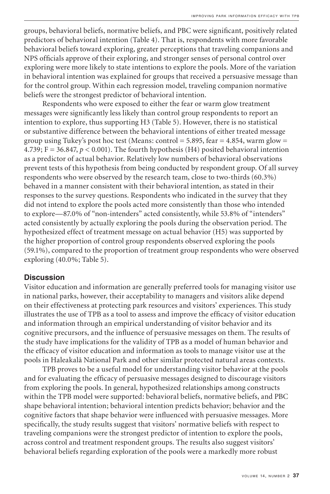groups, behavioral beliefs, normative beliefs, and PBC were significant, positively related predictors of behavioral intention (Table 4). That is, respondents with more favorable behavioral beliefs toward exploring, greater perceptions that traveling companions and NPS officials approve of their exploring, and stronger senses of personal control over exploring were more likely to state intentions to explore the pools. More of the variation in behavioral intention was explained for groups that received a persuasive message than for the control group. Within each regression model, traveling companion normative beliefs were the strongest predictor of behavioral intention.

Respondents who were exposed to either the fear or warm glow treatment messages were significantly less likely than control group respondents to report an intention to explore, thus supporting H3 (Table 5). However, there is no statistical or substantive difference between the behavioral intentions of either treated message group using Tukey's post hoc test (Means: control =  $5.895$ , fear =  $4.854$ , warm glow = 4.739; F = 36.847,  $p < 0.001$ ). The fourth hypothesis (H4) posited behavioral intention as a predictor of actual behavior. Relatively low numbers of behavioral observations prevent tests of this hypothesis from being conducted by respondent group. Of all survey respondents who were observed by the research team, close to two-thirds (60.3%) behaved in a manner consistent with their behavioral intention, as stated in their responses to the survey questions. Respondents who indicated in the survey that they did not intend to explore the pools acted more consistently than those who intended to explore—87.0% of "non-intenders" acted consistently, while 53.8% of "intenders" acted consistently by actually exploring the pools during the observation period. The hypothesized effect of treatment message on actual behavior (H5) was supported by the higher proportion of control group respondents observed exploring the pools (59.1%), compared to the proportion of treatment group respondents who were observed exploring (40.0%; Table 5).

## **Discussion**

Visitor education and information are generally preferred tools for managing visitor use in national parks, however, their acceptability to managers and visitors alike depend on their effectiveness at protecting park resources and visitors' experiences. This study illustrates the use of TPB as a tool to assess and improve the efficacy of visitor education and information through an empirical understanding of visitor behavior and its cognitive precursors, and the influence of persuasive messages on them. The results of the study have implications for the validity of TPB as a model of human behavior and the efficacy of visitor education and information as tools to manage visitor use at the pools in Haleakalā National Park and other similar protected natural areas contexts.

TPB proves to be a useful model for understanding visitor behavior at the pools and for evaluating the efficacy of persuasive messages designed to discourage visitors from exploring the pools. In general, hypothesized relationships among constructs within the TPB model were supported: behavioral beliefs, normative beliefs, and PBC shape behavioral intention; behavioral intention predicts behavior; behavior and the cognitive factors that shape behavior were influenced with persuasive messages. More specifically, the study results suggest that visitors' normative beliefs with respect to traveling companions were the strongest predictor of intention to explore the pools, across control and treatment respondent groups. The results also suggest visitors' behavioral beliefs regarding exploration of the pools were a markedly more robust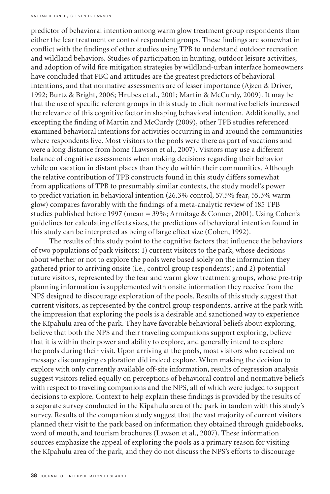predictor of behavioral intention among warm glow treatment group respondents than either the fear treatment or control respondent groups. These findings are somewhat in conflict with the findings of other studies using TPB to understand outdoor recreation and wildland behaviors. Studies of participation in hunting, outdoor leisure activities, and adoption of wild fire mitigation strategies by wildland-urban interface homeowners have concluded that PBC and attitudes are the greatest predictors of behavioral intentions, and that normative assessments are of lesser importance (Ajzen & Driver, 1992; Burtz & Bright, 2006; Hrubes et al., 2001; Martin & McCurdy, 2009). It may be that the use of specific referent groups in this study to elicit normative beliefs increased the relevance of this cognitive factor in shaping behavioral intention. Additionally, and excepting the finding of Martin and McCurdy (2009), other TPB studies referenced examined behavioral intentions for activities occurring in and around the communities where respondents live. Most visitors to the pools were there as part of vacations and were a long distance from home (Lawson et al., 2007). Visitors may use a different balance of cognitive assessments when making decisions regarding their behavior while on vacation in distant places than they do within their communities. Although the relative contribution of TPB constructs found in this study differs somewhat from applications of TPB to presumably similar contexts, the study model's power to predict variation in behavioral intention (26.3% control, 57.5% fear, 55.3% warm glow) compares favorably with the findings of a meta-analytic review of 185 TPB studies published before 1997 (mean = 39%; Armitage & Conner, 2001). Using Cohen's guidelines for calculating effects sizes, the predictions of behavioral intention found in this study can be interpreted as being of large effect size (Cohen, 1992).

The results of this study point to the cognitive factors that influence the behaviors of two populations of park visitors: 1) current visitors to the park, whose decisions about whether or not to explore the pools were based solely on the information they gathered prior to arriving onsite (i.e., control group respondents); and 2) potential future visitors, represented by the fear and warm glow treatment groups, whose pre-trip planning information is supplemented with onsite information they receive from the NPS designed to discourage exploration of the pools. Results of this study suggest that current visitors, as represented by the control group respondents, arrive at the park with the impression that exploring the pools is a desirable and sanctioned way to experience the Kīpahulu area of the park. They have favorable behavioral beliefs about exploring, believe that both the NPS and their traveling companions support exploring, believe that it is within their power and ability to explore, and generally intend to explore the pools during their visit. Upon arriving at the pools, most visitors who received no message discouraging exploration did indeed explore. When making the decision to explore with only currently available off-site information, results of regression analysis suggest visitors relied equally on perceptions of behavioral control and normative beliefs with respect to traveling companions and the NPS, all of which were judged to support decisions to explore. Context to help explain these findings is provided by the results of a separate survey conducted in the Kīpahulu area of the park in tandem with this study's survey. Results of the companion study suggest that the vast majority of current visitors planned their visit to the park based on information they obtained through guidebooks, word of mouth, and tourism brochures (Lawson et al., 2007). These information sources emphasize the appeal of exploring the pools as a primary reason for visiting the Kīpahulu area of the park, and they do not discuss the NPS's efforts to discourage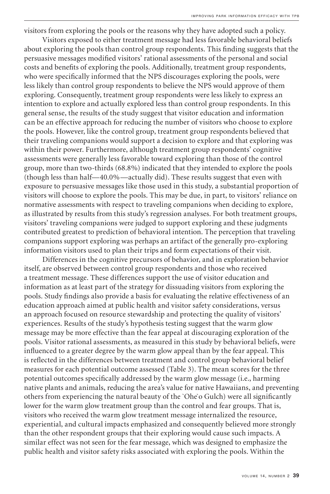visitors from exploring the pools or the reasons why they have adopted such a policy.

Visitors exposed to either treatment message had less favorable behavioral beliefs about exploring the pools than control group respondents. This finding suggests that the persuasive messages modified visitors' rational assessments of the personal and social costs and benefits of exploring the pools. Additionally, treatment group respondents, who were specifically informed that the NPS discourages exploring the pools, were less likely than control group respondents to believe the NPS would approve of them exploring. Consequently, treatment group respondents were less likely to express an intention to explore and actually explored less than control group respondents. In this general sense, the results of the study suggest that visitor education and information can be an effective approach for reducing the number of visitors who choose to explore the pools. However, like the control group, treatment group respondents believed that their traveling companions would support a decision to explore and that exploring was within their power. Furthermore, although treatment group respondents' cognitive assessments were generally less favorable toward exploring than those of the control group, more than two-thirds (68.8%) indicated that they intended to explore the pools (though less than half—40.0%—actually did). These results suggest that even with exposure to persuasive messages like those used in this study, a substantial proportion of visitors will choose to explore the pools. This may be due, in part, to visitors' reliance on normative assessments with respect to traveling companions when deciding to explore, as illustrated by results from this study's regression analyses. For both treatment groups, visitors' traveling companions were judged to support exploring and these judgments contributed greatest to prediction of behavioral intention. The perception that traveling companions support exploring was perhaps an artifact of the generally pro-exploring information visitors used to plan their trips and form expectations of their visit.

Differences in the cognitive precursors of behavior, and in exploration behavior itself, are observed between control group respondents and those who received a treatment message. These differences support the use of visitor education and information as at least part of the strategy for dissuading visitors from exploring the pools. Study findings also provide a basis for evaluating the relative effectiveness of an education approach aimed at public health and visitor safety considerations, versus an approach focused on resource stewardship and protecting the quality of visitors' experiences. Results of the study's hypothesis testing suggest that the warm glow message may be more effective than the fear appeal at discouraging exploration of the pools. Visitor rational assessments, as measured in this study by behavioral beliefs, were influenced to a greater degree by the warm glow appeal than by the fear appeal. This is reflected in the differences between treatment and control group behavioral belief measures for each potential outcome assessed (Table 3). The mean scores for the three potential outcomes specifically addressed by the warm glow message (i.e., harming native plants and animals, reducing the area's value for native Hawaiians, and preventing others from experiencing the natural beauty of the `Ohe`o Gulch) were all significantly lower for the warm glow treatment group than the control and fear groups. That is, visitors who received the warm glow treatment message internalized the resource, experiential, and cultural impacts emphasized and consequently believed more strongly than the other respondent groups that their exploring would cause such impacts. A similar effect was not seen for the fear message, which was designed to emphasize the public health and visitor safety risks associated with exploring the pools. Within the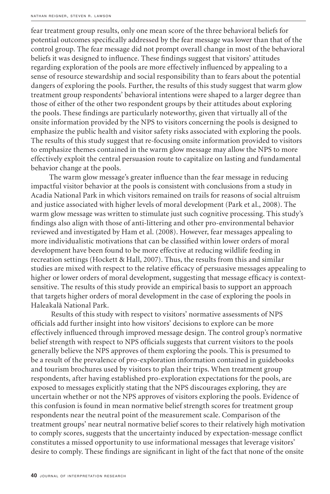fear treatment group results, only one mean score of the three behavioral beliefs for potential outcomes specifically addressed by the fear message was lower than that of the control group. The fear message did not prompt overall change in most of the behavioral beliefs it was designed to influence. These findings suggest that visitors' attitudes regarding exploration of the pools are more effectively influenced by appealing to a sense of resource stewardship and social responsibility than to fears about the potential dangers of exploring the pools. Further, the results of this study suggest that warm glow treatment group respondents' behavioral intentions were shaped to a larger degree than those of either of the other two respondent groups by their attitudes about exploring the pools. These findings are particularly noteworthy, given that virtually all of the onsite information provided by the NPS to visitors concerning the pools is designed to emphasize the public health and visitor safety risks associated with exploring the pools. The results of this study suggest that re-focusing onsite information provided to visitors to emphasize themes contained in the warm glow message may allow the NPS to more effectively exploit the central persuasion route to capitalize on lasting and fundamental behavior change at the pools.

The warm glow message's greater influence than the fear message in reducing impactful visitor behavior at the pools is consistent with conclusions from a study in Acadia National Park in which visitors remained on trails for reasons of social altruism and justice associated with higher levels of moral development (Park et al., 2008). The warm glow message was written to stimulate just such cognitive processing. This study's findings also align with those of anti-littering and other pro-environmental behavior reviewed and investigated by Ham et al. (2008). However, fear messages appealing to more individualistic motivations that can be classified within lower orders of moral development have been found to be more effective at reducing wildlife feeding in recreation settings (Hockett & Hall, 2007). Thus, the results from this and similar studies are mixed with respect to the relative efficacy of persuasive messages appealing to higher or lower orders of moral development, suggesting that message efficacy is contextsensitive. The results of this study provide an empirical basis to support an approach that targets higher orders of moral development in the case of exploring the pools in Haleakalā National Park.

 Results of this study with respect to visitors' normative assessments of NPS officials add further insight into how visitors' decisions to explore can be more effectively influenced through improved message design. The control group's normative belief strength with respect to NPS officials suggests that current visitors to the pools generally believe the NPS approves of them exploring the pools. This is presumed to be a result of the prevalence of pro-exploration information contained in guidebooks and tourism brochures used by visitors to plan their trips. When treatment group respondents, after having established pro-exploration expectations for the pools, are exposed to messages explicitly stating that the NPS discourages exploring, they are uncertain whether or not the NPS approves of visitors exploring the pools. Evidence of this confusion is found in mean normative belief strength scores for treatment group respondents near the neutral point of the measurement scale. Comparison of the treatment groups' near neutral normative belief scores to their relatively high motivation to comply scores, suggests that the uncertainty induced by expectation-message conflict constitutes a missed opportunity to use informational messages that leverage visitors' desire to comply. These findings are significant in light of the fact that none of the onsite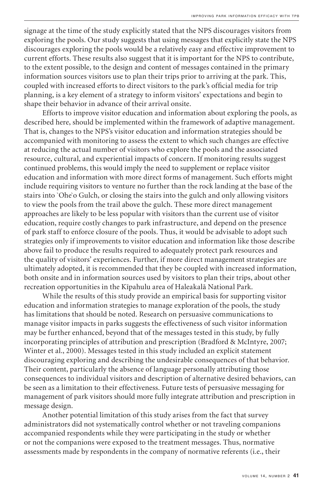signage at the time of the study explicitly stated that the NPS discourages visitors from exploring the pools. Our study suggests that using messages that explicitly state the NPS discourages exploring the pools would be a relatively easy and effective improvement to current efforts. These results also suggest that it is important for the NPS to contribute, to the extent possible, to the design and content of messages contained in the primary information sources visitors use to plan their trips prior to arriving at the park. This, coupled with increased efforts to direct visitors to the park's official media for trip planning, is a key element of a strategy to inform visitors' expectations and begin to shape their behavior in advance of their arrival onsite.

Efforts to improve visitor education and information about exploring the pools, as described here, should be implemented within the framework of adaptive management. That is, changes to the NPS's visitor education and information strategies should be accompanied with monitoring to assess the extent to which such changes are effective at reducing the actual number of visitors who explore the pools and the associated resource, cultural, and experiential impacts of concern. If monitoring results suggest continued problems, this would imply the need to supplement or replace visitor education and information with more direct forms of management. Such efforts might include requiring visitors to venture no further than the rock landing at the base of the stairs into `Ohe`o Gulch, or closing the stairs into the gulch and only allowing visitors to view the pools from the trail above the gulch. These more direct management approaches are likely to be less popular with visitors than the current use of visitor education, require costly changes to park infrastructure, and depend on the presence of park staff to enforce closure of the pools. Thus, it would be advisable to adopt such strategies only if improvements to visitor education and information like those describe above fail to produce the results required to adequately protect park resources and the quality of visitors' experiences. Further, if more direct management strategies are ultimately adopted, it is recommended that they be coupled with increased information, both onsite and in information sources used by visitors to plan their trips, about other recreation opportunities in the Kīpahulu area of Haleakalā National Park.

While the results of this study provide an empirical basis for supporting visitor education and information strategies to manage exploration of the pools, the study has limitations that should be noted. Research on persuasive communications to manage visitor impacts in parks suggests the effectiveness of such visitor information may be further enhanced, beyond that of the messages tested in this study, by fully incorporating principles of attribution and prescription (Bradford & McIntyre, 2007; Winter et al., 2000). Messages tested in this study included an explicit statement discouraging exploring and describing the undesirable consequences of that behavior. Their content, particularly the absence of language personally attributing those consequences to individual visitors and description of alternative desired behaviors, can be seen as a limitation to their effectiveness. Future tests of persuasive messaging for management of park visitors should more fully integrate attribution and prescription in message design.

Another potential limitation of this study arises from the fact that survey administrators did not systematically control whether or not traveling companions accompanied respondents while they were participating in the study or whether or not the companions were exposed to the treatment messages. Thus, normative assessments made by respondents in the company of normative referents (i.e., their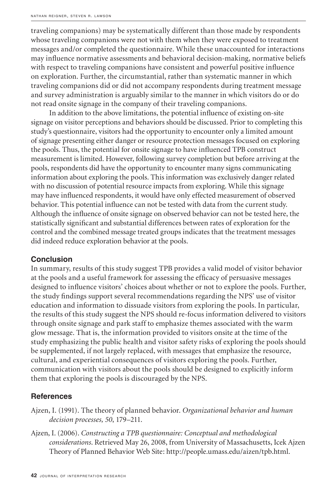traveling companions) may be systematically different than those made by respondents whose traveling companions were not with them when they were exposed to treatment messages and/or completed the questionnaire. While these unaccounted for interactions may influence normative assessments and behavioral decision-making, normative beliefs with respect to traveling companions have consistent and powerful positive influence on exploration. Further, the circumstantial, rather than systematic manner in which traveling companions did or did not accompany respondents during treatment message and survey administration is arguably similar to the manner in which visitors do or do not read onsite signage in the company of their traveling companions.

In addition to the above limitations, the potential influence of existing on-site signage on visitor perceptions and behaviors should be discussed. Prior to completing this study's questionnaire, visitors had the opportunity to encounter only a limited amount of signage presenting either danger or resource protection messages focused on exploring the pools. Thus, the potential for onsite signage to have influenced TPB construct measurement is limited. However, following survey completion but before arriving at the pools, respondents did have the opportunity to encounter many signs communicating information about exploring the pools. This information was exclusively danger related with no discussion of potential resource impacts from exploring. While this signage may have influenced respondents, it would have only effected measurement of observed behavior. This potential influence can not be tested with data from the current study. Although the influence of onsite signage on observed behavior can not be tested here, the statistically significant and substantial differences between rates of exploration for the control and the combined message treated groups indicates that the treatment messages did indeed reduce exploration behavior at the pools.

#### **Conclusion**

In summary, results of this study suggest TPB provides a valid model of visitor behavior at the pools and a useful framework for assessing the efficacy of persuasive messages designed to influence visitors' choices about whether or not to explore the pools. Further, the study findings support several recommendations regarding the NPS' use of visitor education and information to dissuade visitors from exploring the pools. In particular, the results of this study suggest the NPS should re-focus information delivered to visitors through onsite signage and park staff to emphasize themes associated with the warm glow message. That is, the information provided to visitors onsite at the time of the study emphasizing the public health and visitor safety risks of exploring the pools should be supplemented, if not largely replaced, with messages that emphasize the resource, cultural, and experiential consequences of visitors exploring the pools. Further, communication with visitors about the pools should be designed to explicitly inform them that exploring the pools is discouraged by the NPS.

# **References**

- Ajzen, I. (1991). The theory of planned behavior. *Organizational behavior and human decision processes, 50*, 179–211.
- Ajzen, I. (2006). *Constructing a TPB questionnaire: Conceptual and methodological considerations*. Retrieved May 26, 2008, from University of Massachusetts, Icek Ajzen Theory of Planned Behavior Web Site: http://people.umass.edu/aizen/tpb.html.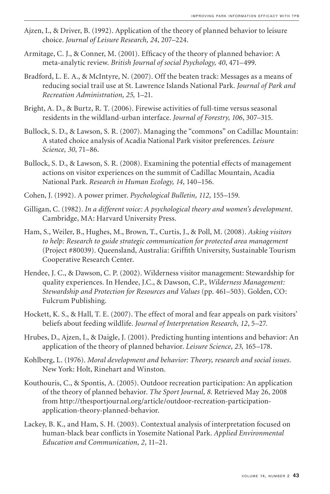- Ajzen, I., & Driver, B. (1992). Application of the theory of planned behavior to leisure choice. *Journal of Leisure Research, 24*, 207–224.
- Armitage, C. J., & Conner, M. (2001). Efficacy of the theory of planned behavior: A meta-analytic review. *British Journal of social Psychology, 40*, 471–499.
- Bradford, L. E. A., & McIntyre, N. (2007). Off the beaten track: Messages as a means of reducing social trail use at St. Lawrence Islands National Park. *Journal of Park and Recreation Administration, 25,* 1–21.
- Bright, A. D., & Burtz, R. T. (2006). Firewise activities of full-time versus seasonal residents in the wildland-urban interface. *Journal of Forestry, 106*, 307–315.
- Bullock, S. D., & Lawson, S. R. (2007). Managing the "commons" on Cadillac Mountain: A stated choice analysis of Acadia National Park visitor preferences. *Leisure Science, 30*, 71–86.
- Bullock, S. D., & Lawson, S. R. (2008). Examining the potential effects of management actions on visitor experiences on the summit of Cadillac Mountain, Acadia National Park. *Research in Human Ecology, 14*, 140–156.
- Cohen, J. (1992). A power primer. *Psychological Bulletin, 112,* 155–159.
- Gilligan, C. (1982). *In a different voice: A psychological theory and women's development*. Cambridge, MA: Harvard University Press.
- Ham, S., Weiler, B., Hughes, M., Brown, T., Curtis, J., & Poll, M. (2008). *Asking visitors to help: Research to guide strategic communication for protected area management* (Project #80039). Queensland, Australia: Griffith University, Sustainable Tourism Cooperative Research Center.
- Hendee, J. C., & Dawson, C. P. (2002). Wilderness visitor management: Stewardship for quality experiences. In Hendee, J.C., & Dawson, C.P., *Wilderness Management: Stewardship and Protection for Resources and Values* (pp. 461–503). Golden, CO: Fulcrum Publishing.
- Hockett, K. S., & Hall, T. E. (2007). The effect of moral and fear appeals on park visitors' beliefs about feeding wildlife. *Journal of Interpretation Research, 12*, 5–27.
- Hrubes, D., Ajzen, I., & Daigle, J. (2001). Predicting hunting intentions and behavior: An application of the theory of planned behavior. *Leisure Science, 23,* 165–178.
- Kohlberg, L. (1976). *Moral development and behavior: Theory, research and social issues*. New York: Holt, Rinehart and Winston.
- Kouthouris, C., & Spontis, A. (2005). Outdoor recreation participation: An application of the theory of planned behavior. *The Sport Journal, 8*. Retrieved May 26, 2008 from http://thesportjournal.org/article/outdoor-recreation-participationapplication-theory-planned-behavior.
- Lackey, B. K., and Ham, S. H. (2003). Contextual analysis of interpretation focused on human-black bear conflicts in Yosemite National Park. *Applied Environmental Education and Communication, 2*, 11–21.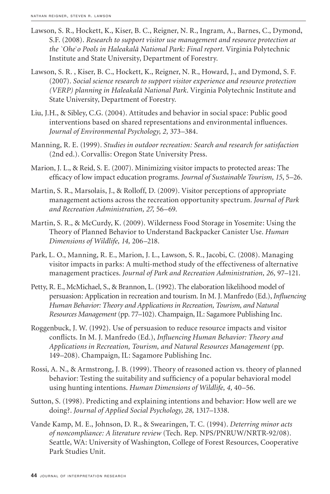- Lawson, S. R., Hockett, K., Kiser, B. C., Reigner, N. R., Ingram, A., Barnes, C., Dymond, S.F. (2008). *Research to support visitor use management and resource protection at the `Ohe`o Pools in Haleakalā National Park: Final report*. Virginia Polytechnic Institute and State University, Department of Forestry.
- Lawson, S. R. , Kiser, B. C., Hockett, K., Reigner, N. R., Howard, J., and Dymond, S. F. (2007). *Social science research to support visitor experience and resource protection (VERP) planning in Haleakalā National Park*. Virginia Polytechnic Institute and State University, Department of Forestry.
- Liu, J.H., & Sibley, C.G. (2004). Attitudes and behavior in social space: Public good interventions based on shared representations and environmental influences. *Journal of Environmental Psychology, 2,* 373–384.
- Manning, R. E. (1999). *Studies in outdoor recreation: Search and research for satisfaction* (2nd ed.). Corvallis: Oregon State University Press.
- Marion, J. L., & Reid, S. E. (2007). Minimizing visitor impacts to protected areas: The efficacy of low impact education programs. *Journal of Sustainable Tourism, 15*, 5–26.
- Martin, S. R., Marsolais, J., & Rolloff, D. (2009). Visitor perceptions of appropriate management actions across the recreation opportunity spectrum. *Journal of Park and Recreation Administration, 27,* 56–69.
- Martin, S. R., & McCurdy, K. (2009). Wilderness Food Storage in Yosemite: Using the Theory of Planned Behavior to Understand Backpacker Canister Use. *Human Dimensions of Wildlife, 14,* 206–218.
- Park, L. O., Manning, R. E., Marion, J. L., Lawson, S. R., Jacobi, C. (2008). Managing visitor impacts in parks: A multi-method study of the effectiveness of alternative management practices. *Journal of Park and Recreation Administration, 26,* 97–121.
- Petty, R. E., McMichael, S., & Brannon, L. (1992). The elaboration likelihood model of persuasion: Application in recreation and tourism. In M. J. Manfredo (Ed.), *Influencing Human Behavior: Theory and Applications in Recreation, Tourism, and Natural Resources Management* (pp. 77–102). Champaign, IL: Sagamore Publishing Inc.
- Roggenbuck, J. W. (1992). Use of persuasion to reduce resource impacts and visitor conflicts. In M. J. Manfredo (Ed.), *Influencing Human Behavior: Theory and Applications in Recreation, Tourism, and Natural Resources Management* (pp. 149–208). Champaign, IL: Sagamore Publishing Inc.
- Rossi, A. N., & Armstrong, J. B. (1999). Theory of reasoned action vs. theory of planned behavior: Testing the suitability and sufficiency of a popular behavioral model using hunting intentions. *Human Dimensions of Wildlife, 4,* 40–56.
- Sutton, S. (1998). Predicting and explaining intentions and behavior: How well are we doing?. *Journal of Applied Social Psychology, 28,* 1317–1338.
- Vande Kamp, M. E., Johnson, D. R., & Swearingen, T. C. (1994). *Deterring minor acts of noncompliance: A literature review* (Tech. Rep. NPS/PNRUW/NRTR-92/08). Seattle, WA: University of Washington, College of Forest Resources, Cooperative Park Studies Unit.